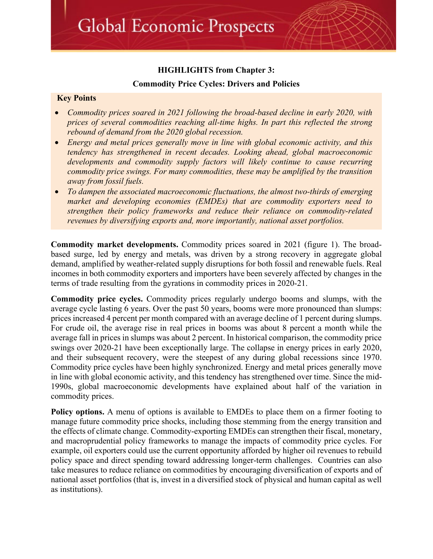**Global Economic Prospects** 

### **HIGHLIGHTS from Chapter 3:**

#### **Commodity Price Cycles: Drivers and Policies**

#### **Key Points**

- *Commodity prices soared in 2021 following the broad-based decline in early 2020, with prices of several commodities reaching all-time highs. In part this reflected the strong rebound of demand from the 2020 global recession.*
- *Energy and metal prices generally move in line with global economic activity, and this tendency has strengthened in recent decades. Looking ahead, global macroeconomic developments and commodity supply factors will likely continue to cause recurring commodity price swings. For many commodities, these may be amplified by the transition away from fossil fuels.*
- *To dampen the associated macroeconomic fluctuations, the almost two-thirds of emerging market and developing economies (EMDEs) that are commodity exporters need to strengthen their policy frameworks and reduce their reliance on commodity-related revenues by diversifying exports and, more importantly, national asset portfolios.*

**Commodity market developments.** Commodity prices soared in 2021 (figure 1). The broadbased surge, led by energy and metals, was driven by a strong recovery in aggregate global demand, amplified by weather-related supply disruptions for both fossil and renewable fuels. Real incomes in both commodity exporters and importers have been severely affected by changes in the terms of trade resulting from the gyrations in commodity prices in 2020-21.

**Commodity price cycles.** Commodity prices regularly undergo booms and slumps, with the average cycle lasting 6 years. Over the past 50 years, booms were more pronounced than slumps: prices increased 4 percent per month compared with an average decline of 1 percent during slumps. For crude oil, the average rise in real prices in booms was about 8 percent a month while the average fall in prices in slumps was about 2 percent. In historical comparison, the commodity price swings over 2020-21 have been exceptionally large. The collapse in energy prices in early 2020, and their subsequent recovery, were the steepest of any during global recessions since 1970. Commodity price cycles have been highly synchronized. Energy and metal prices generally move in line with global economic activity, and this tendency has strengthened over time. Since the mid-1990s, global macroeconomic developments have explained about half of the variation in commodity prices.

**Policy options.** A menu of options is available to EMDEs to place them on a firmer footing to manage future commodity price shocks, including those stemming from the energy transition and the effects of climate change. Commodity-exporting EMDEs can strengthen their fiscal, monetary, and macroprudential policy frameworks to manage the impacts of commodity price cycles. For example, oil exporters could use the current opportunity afforded by higher oil revenues to rebuild policy space and direct spending toward addressing longer-term challenges. Countries can also take measures to reduce reliance on commodities by encouraging diversification of exports and of national asset portfolios (that is, invest in a diversified stock of physical and human capital as well as institutions).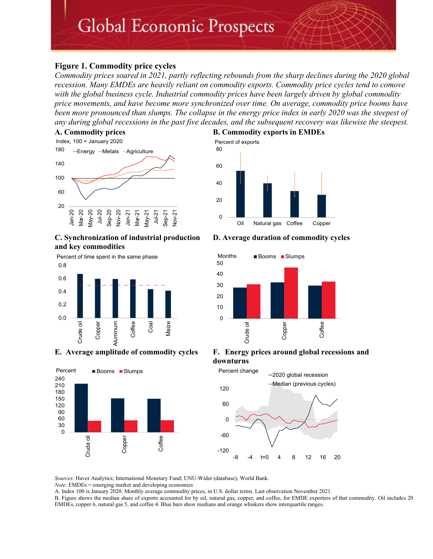# **Global Economic Prospects**

#### **Figure 1. Commodity price cycles**

*Commodity prices soared in 2021, partly reflecting rebounds from the sharp declines during the 2020 global recession. Many EMDEs are heavily reliant on commodity exports. Commodity price cycles tend to comove with the global business cycle. Industrial commodity prices have been largely driven by global commodity price movements, and have become more synchronized over time. On average, commodity price booms have been more pronounced than slumps. The collapse in the energy price index in early 2020 was the steepest of any during global recessions in the past five decades, and the subsequent recovery was likewise the steepest.*



#### **C. Synchronization of industrial production and key commodities**

0.8 Percent of time spent in the same phase







**D. Average duration of commodity cycles**



**E. Average amplitude of commodity cycles F. Energy prices around global recessions and downturns** 



*Sources*: Haver Analytics; International Monetary Fund; UNU-Wider (database); World Bank.

*Note*: EMDEs = emerging market and developing economies

A. Index 100 is January 2020. Monthly average commodity prices, in U.S. dollar terms. Last observation November 2021.

B. Figure shows the median share of exports accounted for by oil, natural gas, copper, and coffee, for EMDE exporters of that commodity. Oil includes 20 EMDEs, copper 6, natural gas 5, and coffee 4. Blue bars show medians and orange whiskers show interquartile ranges.